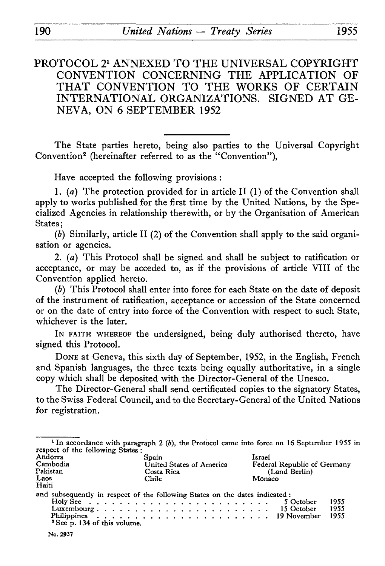# PROTOCOL 21 ANNEXED TO THE UNIVERSAL COPYRIGHT CONVENTION CONCERNING THE APPLICATION OF THAT CONVENTION TO THE WORKS OF CERTAIN INTERNATIONAL ORGANIZATIONS. SIGNED AT GE NEVA, ON 6 SEPTEMBER 1952

The State parties hereto, being also parties to the Universal Copyright Convention2 (hereinafter referred to as the "Convention"),

Have accepted the following provisions :

1. *(a)* The protection provided for in article II (1) of the Convention shall apply to works published for the first time by the United Nations, by the Spe cialized Agencies in relationship therewith, or by the Organisation of American States:

*(b)* Similarly, article II (2) of the Convention shall apply to the said organi sation or agencies.

2. *(a)* This Protocol shall be signed and shall be subject to ratification or acceptance, or may be acceded to, as if the provisions of article VIII of the Convention applied hereto.

*(b)* This Protocol shall enter into force for each State on the date of deposit of the instrument of ratification, acceptance or accession of the State concerned or on the date of entry into force of the Convention with respect to such State, whichever is the later.

IN FAITH WHEREOF the undersigned, being duly authorised thereto, have signed this Protocol.

DONE at Geneva, this sixth day of September, 1952, in the English, French and Spanish languages, the three texts being equally authoritative, in a single copy which shall be deposited with the Director-General of the Unesco.

The Director-General shall send certificated copies to the signatory States, to the Swiss Federal Council, and to the Secretary-General of the United Nations for registration.

| respect of the following States:                 |                                                                                           | <sup>1</sup> In accordance with paragraph 2 (b), the Protocol came into force on 16 September 1955 in |
|--------------------------------------------------|-------------------------------------------------------------------------------------------|-------------------------------------------------------------------------------------------------------|
| Andorra<br>Cambodia<br>Pakistan<br>Laos<br>Haiti | Spain<br>United States of America<br>Costa Rica<br>Chile                                  | Israel<br>Federal Republic of Germany<br>(Land Berlin)<br>Monaco                                      |
| <sup>2</sup> See p. 134 of this volume.          | and subsequently in respect of the following States on the dates indicated:<br>Luxembourg | 1955<br>5 October<br>1955<br>15 October<br>1955                                                       |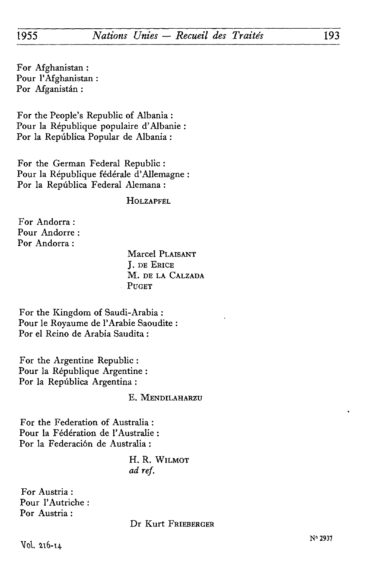For Afghanistan : Pour l'Afghanistan : Por Afganistân :

For the People's Republic of Albania : Pour la République populaire d'Albanie : Por la Repûblica Popular de Albania :

For the German Federal Republic : Pour la République fédérale d'Allemagne : Por la Repûblica Federal Alemana :

**HOLZAPFEL** 

For Andorra : Pour Andorre : Por Andorra :

> Marcel PLAISANT J. DE ERICE M. DE LA CALZADA PUGET

For the Kingdom of Saudi-Arabia : Pour le Royaume de l'Arabie Saoudite : Por el Reino de Arabia Saudita :

For thé Argentine Republic : Pour la République Argentine : Por la Repûblica Argentina :

E. MENDILAHARZU

For the Federation of Australia : Pour la Fédération de l'Australie : Por la Federaciôn de Australia :

> H. R. WILMOT *ad réf.*

For Austria : Pour l'Autriche : Por Austria :

Dr Kurt FRIEBERGER

 $N^{\circ}$  2937  $N^{\circ}$  2937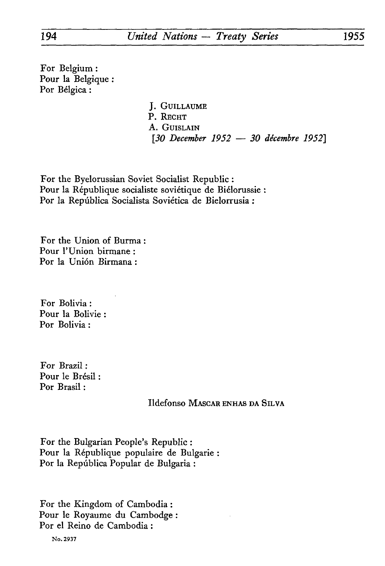For Belgium : Pour la Belgique : Por Bélgica :

> J. GUILLAUME P. RECHT A. GUISLAIN [JO *December 1952 — 30 décembre 1952]*

For the Byelorussian Soviet Socialist Republic : Pour la République socialiste soviétique de Biélorussie : Por la Repûblica Socialista Soviética de Bielorrusia :

For thé Union of Burma : Pour l'Union birmane : Por la Unión Birmana :

For Bolivia : Pour la Bolivie : Por Bolivia :

For Brazil : Pour le Brésil : Por Brasil :

Ildefonso MASCAR ENHAS DA SILVA

For the Bulgarian People's Republic : Pour la République populaire de Bulgarie : Por la Repûblica Popular de Bulgaria :

For the Kingdom of Cambodia : Pour le Royaume du Cambodge Por el Reino de Cambodia :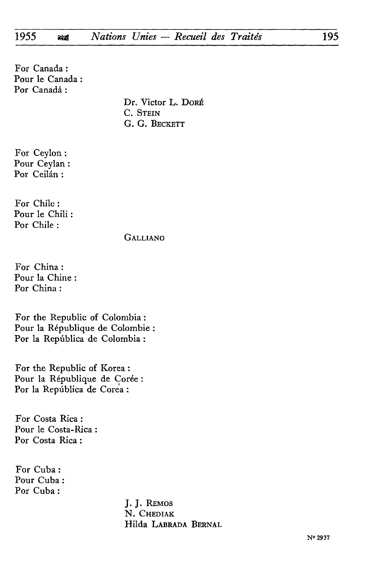For Canada : Pour le Canada : Por Canadá:

> Dr. Victor L. DORÉ C. STEIN G. G. BECKETT

For Ceylon : Pour Ceylan : Por Ceilân :

For Chile : Pour le Chili : Por Chile :

GALLIANO

For China : Pour la Chine Por China :

For the Republic of Colombia : Pour la République de Colombie : Por la Repûblica de Colombia :

For the Republic of Korea : Pour la République de Corée Por la Repûblica de Corea :

For Costa Rica : Pour le Costa-Rica : Por Costa Rica :

For Cuba : Pour Cuba : Por Cuba :

> J. J. REMOS N. CHEDIAK Hilda LABRADA BERNAL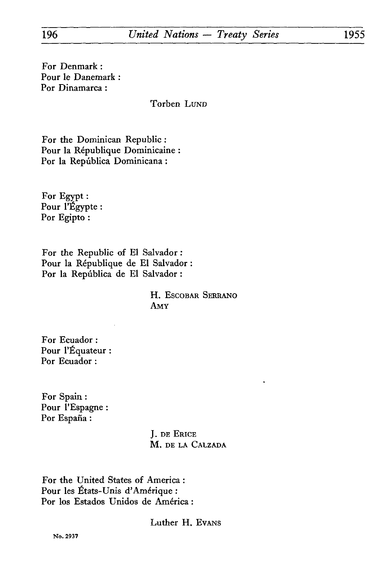For Denmark : Pour le Danemark : Por Dinamarca :

Torben LUND

For the Dominican Republic : Pour la République Dominicaine Por la Repûblica Dominicana :

For Egypt : Pour l'Egypte : Por Egipto :

For the Republic of El Salvador : Pour la République de El Salvador : Por la Repûblica de El Salvador :

> H. ESCOBAR SERRANO AMY

For Ecuador : Pour l'Equateur : Por Ecuador :

For Spain : Pour l'Espagne : Por España :

> J. DE ERICE M. DE LA CALZADA

For the United States of America : Pour les États-Unis d'Amérique : Por los Estados Unidos de América :

Luther H. EVANS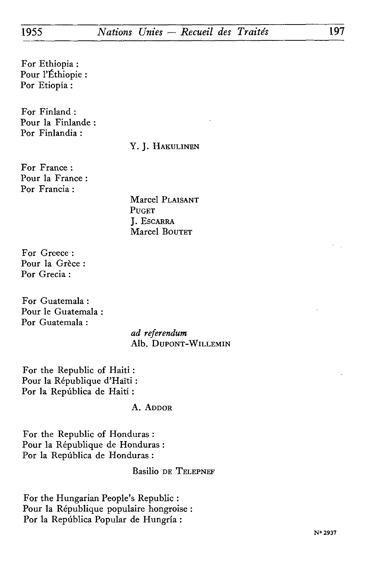For Ethiopia : Pour l'Ethiopie : Por Etiopia :

For Finland : Pour la Finlande Por Finlandia :

#### Y. J. HAKULINEN

For France : Pour la France : Por Francia :

> Marcel PLAISANT **PUGET** J. ESCARRA Marcel BOUTET

For Greece : Pour la Grèce : Por Grecia :

For Guatemala : Pour le Guatemala Por Guatemala :

> *ad referendum* Alb. DuPONT-WlLLEMIN

For the Republic of Haiti : Pour la République d'Haïti : Por la Repûblica de Haiti :

#### A. ADDOR

For the Republic of Honduras : Pour la République de Honduras : Por la Repûblica de Honduras :

### Basilio DE TELEPNEF

For the Hungarian People's Republic : Pour la République populaire hongroise : Por la Repûblica Popular de Hungria :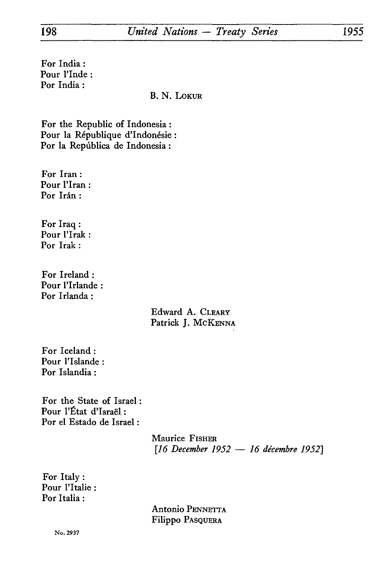For India : Pour l'Inde : Por India :

B. N. LOKUR

For the Republic of Indonesia : Pour la République d'Indonésie : Por la Repûblica de Indonesia :

For Iran : Pour l'Iran : Por Irán:

For Iraq : Pour l'Irak : Por Irak :

For Ireland : Pour l'Irlande : Por Irlanda :

> Edward A. CLEARY Patrick J. McKENNA

For Iceland : Pour l'Islande : Por Islandia :

For the State of Israel : Pour l'État d'Israël : Por el Estado de Israel :

> Maurice FISHER *[16 December 1952* — *16 décembre 1952]*

For Italy : Pour l'Italie : Por Italia :

> Antonio PENNETTA Filippo PASQUERA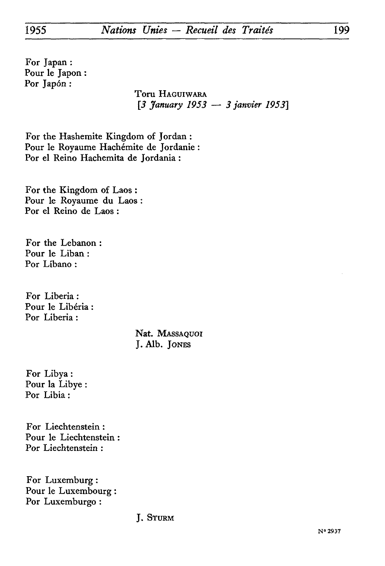For Japan : Pour le Japon : Por Japón:

Toru HAGUIWARA *[3 January 1953 — 3 janvier 1953]*

For the Hashemite Kingdom of Jordan : Pour le Royaume Hachémite de Jordanie : Por el Reino Hachemita de Jordania :

For the Kingdom of Laos : Pour le Royaume du Laos : Por el Reino de Laos :

For the Lebanon : Pour le Liban : Por Libano :

For Liberia : Pour le Libéria Por Liberia :

> Nat. MASSAQUOI J. Alb. JONES

For Libya : Pour la Libye : Por Libia :

For Liechtenstein : Pour le Liechtenstein : Por Liechtenstein :

For Luxemburg : Pour le Luxembourg : Por Luxemburgo :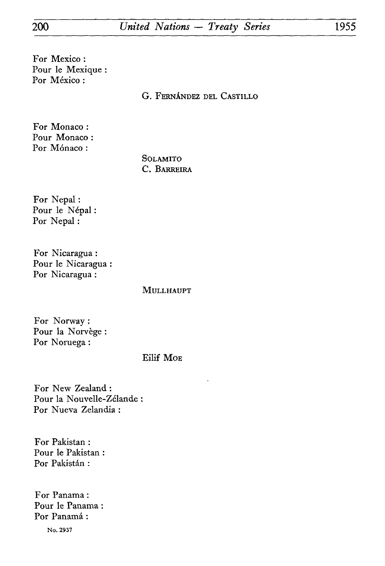# 200 *United Nations — Treaty Series* 1955

For Mexico : Pour le Mexique : Por México:

G. FERNANDEZ DEL CASTILLO

For Monaco : Pour Monaco : Por Mónaco:

> SOLAMITO C. BARREIRA

For Nepal : Pour le Népal : Por Nepal :

For Nicaragua : Pour le Nicaragua : Por Nicaragua :

MULLHAUPT

For Norway : Pour la Norvège : Por Noruega :

Eilif MOE

For New Zealand : Pour la Nouvelle-Zélande Por Nueva Zelandia :

For Pakistan : Pour le Pakistan Por Pakistán:

For Panama : Pour le Panama : Por Panamá: No. 2937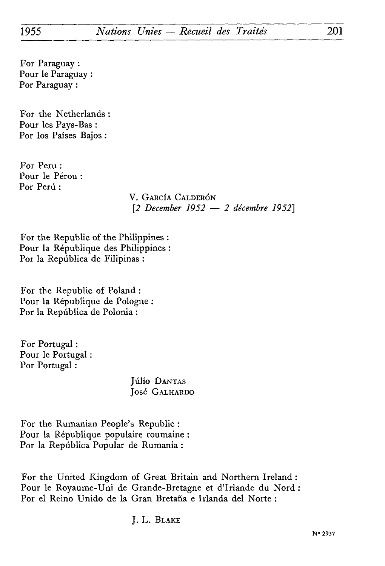For Paraguay : Pour le Paraguay : Por Paraguay :

For the Netherlands : Pour les Pays-Bas : Por los Paises Bajos :

For Peru : Pour le Pérou : Por Perú:

> V. GARCÏA CALDERÔN *[2 December 1952* — *2 décembre 1952}*

For the Republic of the Philippines : Pour la République des Philippines : Por la República de Filipinas:

For the Republic of Poland : Pour la République de Pologne : Por la Repûblica de Polonia :

For Portugal : Pour le Portugal Por Portugal :

> **Júlio DANTAS** José GALHARDO

For the Rumanian People's Republic : Pour la République populaire roumaine : Por la Repûblica Popular de Rumania :

For thé United Kingdom of Great Britain and Northern Ireland : Pour le Royaume-Uni de Grande-Bretagne et d'Irlande du Nord : Por el Reino Unido de la Gran Bretana e Irlanda del Norte :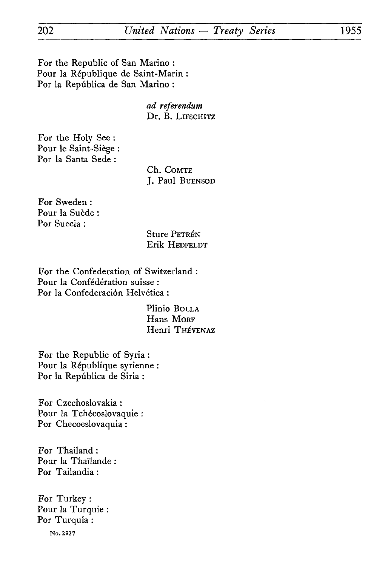## 202 *United Nations* — *Treaty Series* 1955

For the Republic of San Marino : Pour la République de Saint-Marin : For la Repûblica de San Marino :

> *ad referendum*  Dr. B. LIFSCHITZ

For the Holy See : Pour le Saint-Siège : Por la Santa Sede :

> Ch. COMTE J. Paul BUENSOD

For Sweden : Pour la Suède : Por Suecia :

> Sture PETRÉN Erik HEDFELDT

For the Confederation of Switzerland : Pour la Confédération suisse : Por la Confederación Helvética :

> Plinio BOLLA Hans MORF Henri THÉVENAZ

For the Republic of Syria : Pour la République syrienne : Por la Repûblica de Siria :

For Czechoslovakia : Pour la Tchécoslovaquie : Por Checoeslovaquia :

For Thailand : Pour la Thaïlande : Por Tailandia :

For Turkey : Pour la Turquie : Por Turquia :

No. 2937